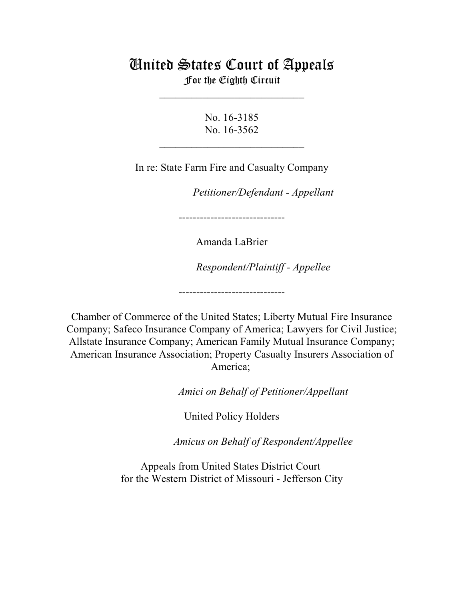# United States Court of Appeals For the Eighth Circuit

\_\_\_\_\_\_\_\_\_\_\_\_\_\_\_\_\_\_\_\_\_\_\_\_\_\_\_

No. 16-3185 No. 16-3562

 $\mathcal{L}_\text{max}$  , which is a set of the set of the set of the set of the set of the set of the set of the set of the set of the set of the set of the set of the set of the set of the set of the set of the set of the set of

In re: State Farm Fire and Casualty Company

*Petitioner/Defendant - Appellant* 

------------------------------

Amanda LaBrier

 $Respondent/Plaintiff - Applelee$ 

Chamber of Commerce of the United States; Liberty Mutual Fire Insurance Company; Safeco Insurance Company of America; Lawyers for Civil Justice; Allstate Insurance Company; American Family Mutual Insurance Company; American Insurance Association; Property Casualty Insurers Association of America;

------------------------------

Amici on Behalf of Petitioner/Appellant

United Policy Holders

Amicus on Behalf of Respondent/Appellee

Appeals from United States District Court for the Western District of Missouri - Jefferson City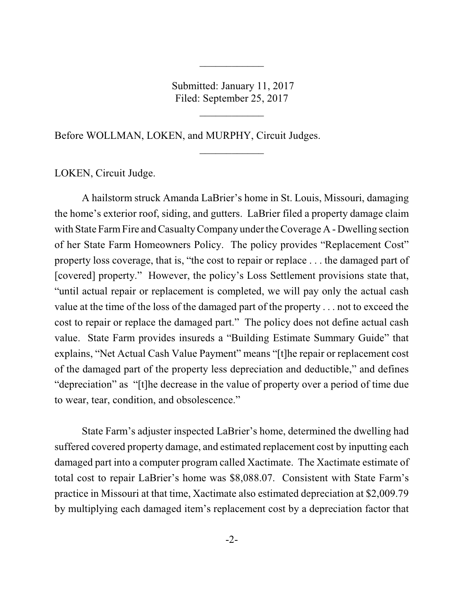Submitted: January 11, 2017 Filed: September 25, 2017

 $\overline{\phantom{a}}$  , where  $\overline{\phantom{a}}$ 

 $\frac{1}{2}$ 

 $\frac{1}{2}$ 

Before WOLLMAN, LOKEN, and MURPHY, Circuit Judges.

LOKEN, Circuit Judge.

A hailstorm struck Amanda LaBrier's home in St. Louis, Missouri, damaging the home's exterior roof, siding, and gutters. LaBrier filed a property damage claim with State Farm Fire and Casualty Company under the Coverage A - Dwelling section of her State Farm Homeowners Policy. The policy provides "Replacement Cost" property loss coverage, that is, "the cost to repair or replace . . . the damaged part of [covered] property." However, the policy's Loss Settlement provisions state that, "until actual repair or replacement is completed, we will pay only the actual cash value at the time of the loss of the damaged part of the property . . . not to exceed the cost to repair or replace the damaged part." The policy does not define actual cash value. State Farm provides insureds a "Building Estimate Summary Guide" that explains, "Net Actual Cash Value Payment" means "[t]he repair or replacement cost of the damaged part of the property less depreciation and deductible," and defines "depreciation" as "[t]he decrease in the value of property over a period of time due to wear, tear, condition, and obsolescence."

State Farm's adjuster inspected LaBrier's home, determined the dwelling had suffered covered property damage, and estimated replacement cost by inputting each damaged part into a computer program called Xactimate. The Xactimate estimate of total cost to repair LaBrier's home was \$8,088.07. Consistent with State Farm's practice in Missouri at that time, Xactimate also estimated depreciation at \$2,009.79 by multiplying each damaged item's replacement cost by a depreciation factor that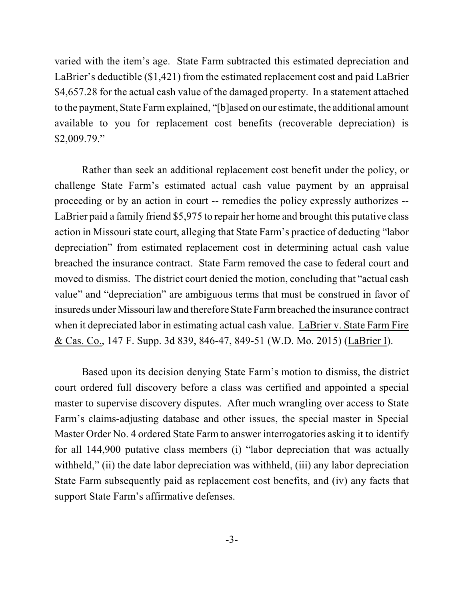varied with the item's age. State Farm subtracted this estimated depreciation and LaBrier's deductible (\$1,421) from the estimated replacement cost and paid LaBrier \$4,657.28 for the actual cash value of the damaged property. In a statement attached to the payment, State Farmexplained, "[b]ased on our estimate, the additional amount available to you for replacement cost benefits (recoverable depreciation) is \$2,009.79."

Rather than seek an additional replacement cost benefit under the policy, or challenge State Farm's estimated actual cash value payment by an appraisal proceeding or by an action in court -- remedies the policy expressly authorizes -- LaBrier paid a family friend \$5,975 to repair her home and brought this putative class action in Missouri state court, alleging that State Farm's practice of deducting "labor depreciation" from estimated replacement cost in determining actual cash value breached the insurance contract. State Farm removed the case to federal court and moved to dismiss. The district court denied the motion, concluding that "actual cash value" and "depreciation" are ambiguous terms that must be construed in favor of insureds under Missouri law and therefore State Farmbreached the insurance contract when it depreciated labor in estimating actual cash value. LaBrier v. State Farm Fire & Cas. Co., 147 F. Supp. 3d 839, 846-47, 849-51 (W.D. Mo. 2015) (LaBrier I).

Based upon its decision denying State Farm's motion to dismiss, the district court ordered full discovery before a class was certified and appointed a special master to supervise discovery disputes. After much wrangling over access to State Farm's claims-adjusting database and other issues, the special master in Special Master Order No. 4 ordered State Farm to answer interrogatories asking it to identify for all 144,900 putative class members (i) "labor depreciation that was actually withheld," (ii) the date labor depreciation was withheld, (iii) any labor depreciation State Farm subsequently paid as replacement cost benefits, and (iv) any facts that support State Farm's affirmative defenses.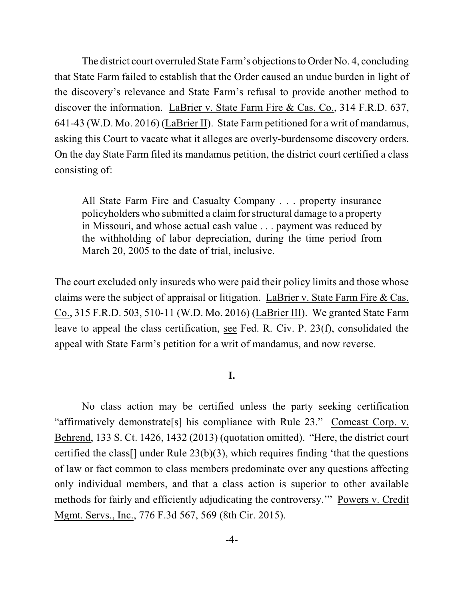The district court overruled State Farm's objections to Order No. 4, concluding that State Farm failed to establish that the Order caused an undue burden in light of the discovery's relevance and State Farm's refusal to provide another method to discover the information. LaBrier v. State Farm Fire & Cas. Co., 314 F.R.D. 637, 641-43 (W.D. Mo. 2016) (LaBrier II). State Farm petitioned for a writ of mandamus, asking this Court to vacate what it alleges are overly-burdensome discovery orders. On the day State Farm filed its mandamus petition, the district court certified a class consisting of:

All State Farm Fire and Casualty Company . . . property insurance policyholders who submitted a claim for structural damage to a property in Missouri, and whose actual cash value . . . payment was reduced by the withholding of labor depreciation, during the time period from March 20, 2005 to the date of trial, inclusive.

The court excluded only insureds who were paid their policy limits and those whose claims were the subject of appraisal or litigation. LaBrier v. State Farm Fire & Cas. Co., 315 F.R.D. 503, 510-11 (W.D. Mo. 2016) (LaBrier III). We granted State Farm leave to appeal the class certification, see Fed. R. Civ. P. 23(f), consolidated the appeal with State Farm's petition for a writ of mandamus, and now reverse.

### **I.**

No class action may be certified unless the party seeking certification "affirmatively demonstrate[s] his compliance with Rule 23." Comcast Corp. v. Behrend, 133 S. Ct. 1426, 1432 (2013) (quotation omitted). "Here, the district court certified the class[] under Rule 23(b)(3), which requires finding 'that the questions of law or fact common to class members predominate over any questions affecting only individual members, and that a class action is superior to other available methods for fairly and efficiently adjudicating the controversy.'" Powers v. Credit Mgmt. Servs., Inc., 776 F.3d 567, 569 (8th Cir. 2015).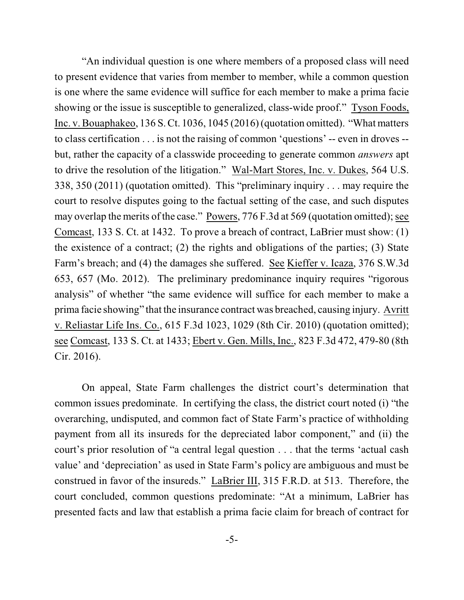"An individual question is one where members of a proposed class will need to present evidence that varies from member to member, while a common question is one where the same evidence will suffice for each member to make a prima facie showing or the issue is susceptible to generalized, class-wide proof." Tyson Foods, Inc. v. Bouaphakeo, 136 S. Ct. 1036, 1045 (2016)(quotation omitted). "What matters to class certification . . . is not the raising of common 'questions' -- even in droves - but, rather the capacity of a classwide proceeding to generate common *answers* apt to drive the resolution of the litigation." Wal-Mart Stores, Inc. v. Dukes, 564 U.S. 338, 350 (2011) (quotation omitted). This "preliminary inquiry . . . may require the court to resolve disputes going to the factual setting of the case, and such disputes may overlap the merits of the case." Powers, 776 F.3d at 569 (quotation omitted); see Comcast, 133 S. Ct. at 1432. To prove a breach of contract, LaBrier must show: (1) the existence of a contract; (2) the rights and obligations of the parties; (3) State Farm's breach; and (4) the damages she suffered. See Kieffer v. Icaza, 376 S.W.3d 653, 657 (Mo. 2012). The preliminary predominance inquiry requires "rigorous analysis" of whether "the same evidence will suffice for each member to make a prima facie showing" that the insurance contract was breached, causing injury. Avritt v. Reliastar Life Ins. Co., 615 F.3d 1023, 1029 (8th Cir. 2010) (quotation omitted); see Comcast, 133 S. Ct. at 1433; Ebert v. Gen. Mills, Inc., 823 F.3d 472, 479-80 (8th Cir. 2016).

On appeal, State Farm challenges the district court's determination that common issues predominate. In certifying the class, the district court noted (i) "the overarching, undisputed, and common fact of State Farm's practice of withholding payment from all its insureds for the depreciated labor component," and (ii) the court's prior resolution of "a central legal question . . . that the terms 'actual cash value' and 'depreciation' as used in State Farm's policy are ambiguous and must be construed in favor of the insureds." LaBrier III, 315 F.R.D. at 513. Therefore, the court concluded, common questions predominate: "At a minimum, LaBrier has presented facts and law that establish a prima facie claim for breach of contract for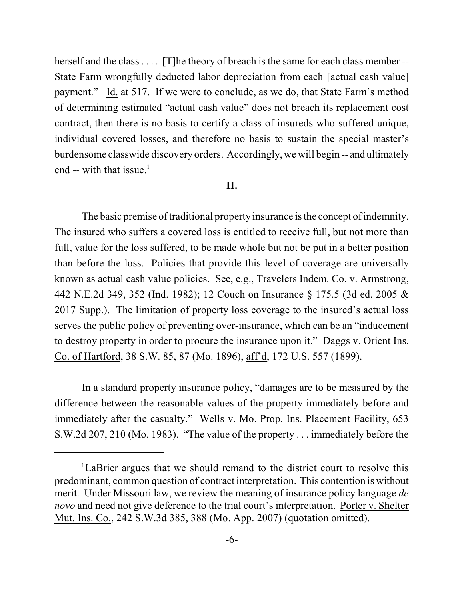herself and the class . . . . [T]he theory of breach is the same for each class member --State Farm wrongfully deducted labor depreciation from each [actual cash value] payment." Id. at 517. If we were to conclude, as we do, that State Farm's method of determining estimated "actual cash value" does not breach its replacement cost contract, then there is no basis to certify a class of insureds who suffered unique, individual covered losses, and therefore no basis to sustain the special master's burdensome classwide discovery orders. Accordingly, we will begin -- and ultimately end -- with that issue.<sup>1</sup>

#### **II.**

The basic premise of traditional property insurance is the concept of indemnity. The insured who suffers a covered loss is entitled to receive full, but not more than full, value for the loss suffered, to be made whole but not be put in a better position than before the loss. Policies that provide this level of coverage are universally known as actual cash value policies. See, e.g., Travelers Indem. Co. v. Armstrong, 442 N.E.2d 349, 352 (Ind. 1982); 12 Couch on Insurance § 175.5 (3d ed. 2005 & 2017 Supp.). The limitation of property loss coverage to the insured's actual loss serves the public policy of preventing over-insurance, which can be an "inducement to destroy property in order to procure the insurance upon it." Daggs v. Orient Ins. Co. of Hartford, 38 S.W. 85, 87 (Mo. 1896), aff'd, 172 U.S. 557 (1899).

In a standard property insurance policy, "damages are to be measured by the difference between the reasonable values of the property immediately before and immediately after the casualty." Wells v. Mo. Prop. Ins. Placement Facility, 653 S.W.2d 207, 210 (Mo. 1983). "The value of the property . . . immediately before the

<sup>&</sup>lt;sup>1</sup>LaBrier argues that we should remand to the district court to resolve this predominant, common question of contract interpretation. This contention is without merit. Under Missouri law, we review the meaning of insurance policy language *de novo* and need not give deference to the trial court's interpretation. Porter v. Shelter Mut. Ins. Co., 242 S.W.3d 385, 388 (Mo. App. 2007) (quotation omitted).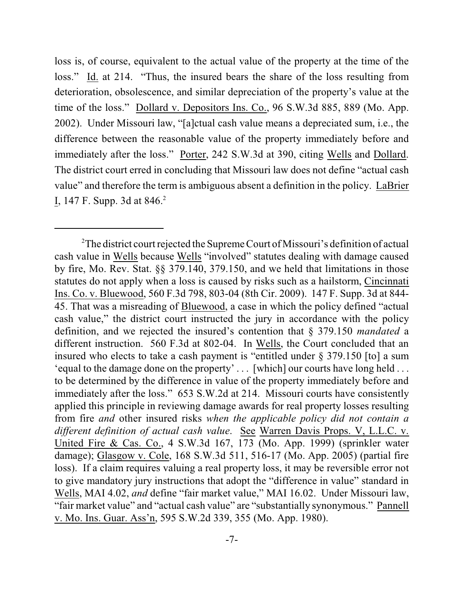loss is, of course, equivalent to the actual value of the property at the time of the loss." Id. at 214. "Thus, the insured bears the share of the loss resulting from deterioration, obsolescence, and similar depreciation of the property's value at the time of the loss." Dollard v. Depositors Ins. Co., 96 S.W.3d 885, 889 (Mo. App. 2002). Under Missouri law, "[a]ctual cash value means a depreciated sum, i.e., the difference between the reasonable value of the property immediately before and immediately after the loss." Porter, 242 S.W.3d at 390, citing Wells and Dollard. The district court erred in concluding that Missouri law does not define "actual cash value" and therefore the term is ambiguous absent a definition in the policy. LaBrier I, 147 F. Supp. 3d at 846.<sup>2</sup>

<sup>&</sup>lt;sup>2</sup>The district court rejected the Supreme Court of Missouri's definition of actual cash value in Wells because Wells "involved" statutes dealing with damage caused by fire, Mo. Rev. Stat. §§ 379.140, 379.150, and we held that limitations in those statutes do not apply when a loss is caused by risks such as a hailstorm, Cincinnati Ins. Co. v. Bluewood, 560 F.3d 798, 803-04 (8th Cir. 2009). 147 F. Supp. 3d at 844- 45. That was a misreading of Bluewood, a case in which the policy defined "actual cash value," the district court instructed the jury in accordance with the policy definition, and we rejected the insured's contention that § 379.150 *mandated* a different instruction. 560 F.3d at 802-04. In Wells, the Court concluded that an insured who elects to take a cash payment is "entitled under § 379.150 [to] a sum 'equal to the damage done on the property' . . . [which] our courts have long held . . . to be determined by the difference in value of the property immediately before and immediately after the loss." 653 S.W.2d at 214. Missouri courts have consistently applied this principle in reviewing damage awards for real property losses resulting from fire *and* other insured risks *when the applicable policy did not contain a different definition of actual cash value*. See Warren Davis Props. V, L.L.C. v. United Fire & Cas. Co., 4 S.W.3d 167, 173 (Mo. App. 1999) (sprinkler water damage); Glasgow v. Cole, 168 S.W.3d 511, 516-17 (Mo. App. 2005) (partial fire loss). If a claim requires valuing a real property loss, it may be reversible error not to give mandatory jury instructions that adopt the "difference in value" standard in Wells, MAI 4.02, *and* define "fair market value," MAI 16.02. Under Missouri law, "fair market value" and "actual cash value" are "substantially synonymous." Pannell v. Mo. Ins. Guar. Ass'n, 595 S.W.2d 339, 355 (Mo. App. 1980).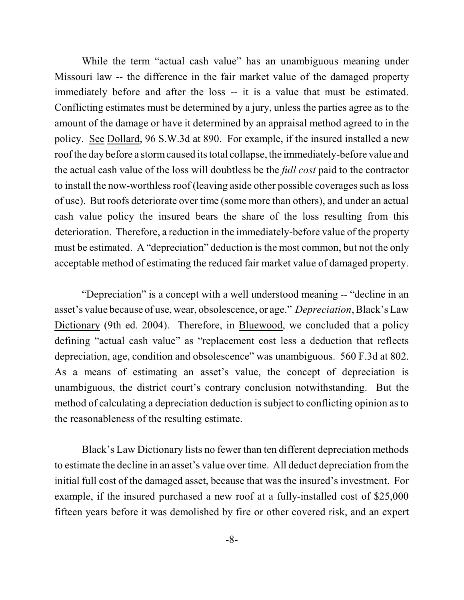While the term "actual cash value" has an unambiguous meaning under Missouri law -- the difference in the fair market value of the damaged property immediately before and after the loss -- it is a value that must be estimated. Conflicting estimates must be determined by a jury, unless the parties agree as to the amount of the damage or have it determined by an appraisal method agreed to in the policy. See Dollard, 96 S.W.3d at 890. For example, if the insured installed a new roofthe day before a stormcaused its total collapse, the immediately-before value and the actual cash value of the loss will doubtless be the *full cost* paid to the contractor to install the now-worthless roof (leaving aside other possible coverages such as loss of use). But roofs deteriorate over time (some more than others), and under an actual cash value policy the insured bears the share of the loss resulting from this deterioration. Therefore, a reduction in the immediately-before value of the property must be estimated. A "depreciation" deduction is the most common, but not the only acceptable method of estimating the reduced fair market value of damaged property.

"Depreciation" is a concept with a well understood meaning -- "decline in an asset's value because of use, wear, obsolescence, or age." *Depreciation*, Black's Law Dictionary (9th ed. 2004). Therefore, in Bluewood, we concluded that a policy defining "actual cash value" as "replacement cost less a deduction that reflects depreciation, age, condition and obsolescence" was unambiguous. 560 F.3d at 802. As a means of estimating an asset's value, the concept of depreciation is unambiguous, the district court's contrary conclusion notwithstanding. But the method of calculating a depreciation deduction is subject to conflicting opinion as to the reasonableness of the resulting estimate.

Black's Law Dictionary lists no fewer than ten different depreciation methods to estimate the decline in an asset's value over time. All deduct depreciation fromthe initial full cost of the damaged asset, because that was the insured's investment. For example, if the insured purchased a new roof at a fully-installed cost of \$25,000 fifteen years before it was demolished by fire or other covered risk, and an expert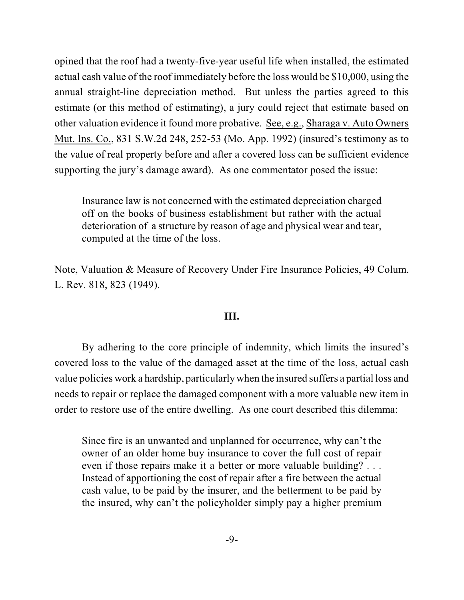opined that the roof had a twenty-five-year useful life when installed, the estimated actual cash value of the roof immediately before the loss would be \$10,000, using the annual straight-line depreciation method. But unless the parties agreed to this estimate (or this method of estimating), a jury could reject that estimate based on other valuation evidence it found more probative. See, e.g., Sharaga v. Auto Owners Mut. Ins. Co., 831 S.W.2d 248, 252-53 (Mo. App. 1992) (insured's testimony as to the value of real property before and after a covered loss can be sufficient evidence supporting the jury's damage award). As one commentator posed the issue:

Insurance law is not concerned with the estimated depreciation charged off on the books of business establishment but rather with the actual deterioration of a structure by reason of age and physical wear and tear, computed at the time of the loss.

Note, Valuation & Measure of Recovery Under Fire Insurance Policies, 49 Colum. L. Rev. 818, 823 (1949).

#### **III.**

By adhering to the core principle of indemnity, which limits the insured's covered loss to the value of the damaged asset at the time of the loss, actual cash value policies work a hardship, particularly when the insured suffers a partial loss and needs to repair or replace the damaged component with a more valuable new item in order to restore use of the entire dwelling. As one court described this dilemma:

Since fire is an unwanted and unplanned for occurrence, why can't the owner of an older home buy insurance to cover the full cost of repair even if those repairs make it a better or more valuable building? . . . Instead of apportioning the cost of repair after a fire between the actual cash value, to be paid by the insurer, and the betterment to be paid by the insured, why can't the policyholder simply pay a higher premium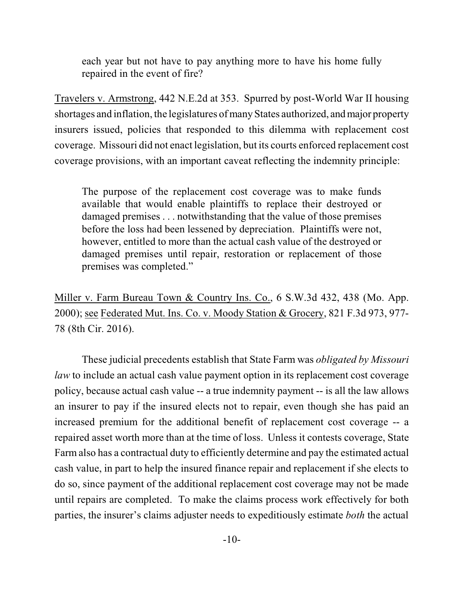each year but not have to pay anything more to have his home fully repaired in the event of fire?

Travelers v. Armstrong, 442 N.E.2d at 353. Spurred by post-World War II housing shortages and inflation, the legislatures of many States authorized, and major property insurers issued, policies that responded to this dilemma with replacement cost coverage. Missouri did not enact legislation, but its courts enforced replacement cost coverage provisions, with an important caveat reflecting the indemnity principle:

The purpose of the replacement cost coverage was to make funds available that would enable plaintiffs to replace their destroyed or damaged premises . . . notwithstanding that the value of those premises before the loss had been lessened by depreciation. Plaintiffs were not, however, entitled to more than the actual cash value of the destroyed or damaged premises until repair, restoration or replacement of those premises was completed."

Miller v. Farm Bureau Town & Country Ins. Co., 6 S.W.3d 432, 438 (Mo. App. 2000); see Federated Mut. Ins. Co. v. Moody Station & Grocery, 821 F.3d 973, 977- 78 (8th Cir. 2016).

These judicial precedents establish that State Farm was *obligated by Missouri law* to include an actual cash value payment option in its replacement cost coverage policy, because actual cash value -- a true indemnity payment -- is all the law allows an insurer to pay if the insured elects not to repair, even though she has paid an increased premium for the additional benefit of replacement cost coverage -- a repaired asset worth more than at the time of loss. Unless it contests coverage, State Farm also has a contractual duty to efficiently determine and pay the estimated actual cash value, in part to help the insured finance repair and replacement if she elects to do so, since payment of the additional replacement cost coverage may not be made until repairs are completed. To make the claims process work effectively for both parties, the insurer's claims adjuster needs to expeditiously estimate *both* the actual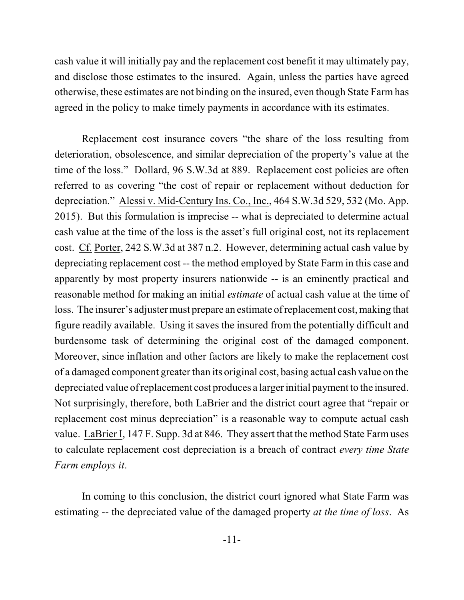cash value it will initially pay and the replacement cost benefit it may ultimately pay, and disclose those estimates to the insured. Again, unless the parties have agreed otherwise, these estimates are not binding on the insured, even though State Farm has agreed in the policy to make timely payments in accordance with its estimates.

Replacement cost insurance covers "the share of the loss resulting from deterioration, obsolescence, and similar depreciation of the property's value at the time of the loss." Dollard, 96 S.W.3d at 889. Replacement cost policies are often referred to as covering "the cost of repair or replacement without deduction for depreciation." Alessi v. Mid-Century Ins. Co., Inc., 464 S.W.3d 529, 532 (Mo. App. 2015). But this formulation is imprecise -- what is depreciated to determine actual cash value at the time of the loss is the asset's full original cost, not its replacement cost. Cf. Porter, 242 S.W.3d at 387 n.2. However, determining actual cash value by depreciating replacement cost -- the method employed by State Farm in this case and apparently by most property insurers nationwide -- is an eminently practical and reasonable method for making an initial *estimate* of actual cash value at the time of loss. The insurer's adjuster must prepare an estimate ofreplacement cost, making that figure readily available. Using it saves the insured from the potentially difficult and burdensome task of determining the original cost of the damaged component. Moreover, since inflation and other factors are likely to make the replacement cost of a damaged component greater than its original cost, basing actual cash value on the depreciated value ofreplacement cost produces a larger initial payment to the insured. Not surprisingly, therefore, both LaBrier and the district court agree that "repair or replacement cost minus depreciation" is a reasonable way to compute actual cash value. LaBrier I, 147 F. Supp. 3d at 846. They assert that the method State Farm uses to calculate replacement cost depreciation is a breach of contract *every time State Farm employs it*.

In coming to this conclusion, the district court ignored what State Farm was estimating -- the depreciated value of the damaged property *at the time of loss*. As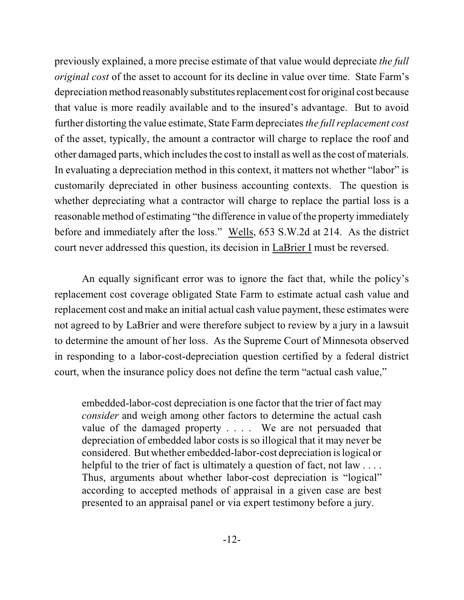previously explained, a more precise estimate of that value would depreciate *the full original cost* of the asset to account for its decline in value over time. State Farm's depreciation method reasonably substitutes replacement cost for original cost because that value is more readily available and to the insured's advantage. But to avoid further distorting the value estimate, State Farm depreciates*the fullreplacement cost* of the asset, typically, the amount a contractor will charge to replace the roof and other damaged parts, which includes the cost to install as well as the cost of materials. In evaluating a depreciation method in this context, it matters not whether "labor" is customarily depreciated in other business accounting contexts. The question is whether depreciating what a contractor will charge to replace the partial loss is a reasonable method of estimating "the difference in value of the property immediately before and immediately after the loss." Wells, 653 S.W.2d at 214. As the district court never addressed this question, its decision in LaBrier I must be reversed.

An equally significant error was to ignore the fact that, while the policy's replacement cost coverage obligated State Farm to estimate actual cash value and replacement cost and make an initial actual cash value payment, these estimates were not agreed to by LaBrier and were therefore subject to review by a jury in a lawsuit to determine the amount of her loss. As the Supreme Court of Minnesota observed in responding to a labor-cost-depreciation question certified by a federal district court, when the insurance policy does not define the term "actual cash value,"

embedded-labor-cost depreciation is one factor that the trier of fact may *consider* and weigh among other factors to determine the actual cash value of the damaged property . . . . We are not persuaded that depreciation of embedded labor costs is so illogical that it may never be considered. But whether embedded-labor-cost depreciation islogical or helpful to the trier of fact is ultimately a question of fact, not law .... Thus, arguments about whether labor-cost depreciation is "logical" according to accepted methods of appraisal in a given case are best presented to an appraisal panel or via expert testimony before a jury.